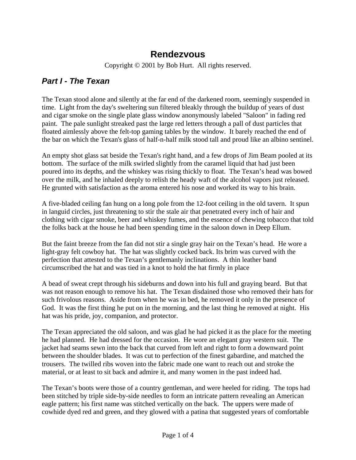## **Rendezvous**

Copyright © 2001 by Bob Hurt. All rights reserved.

## *Part I - The Texan*

The Texan stood alone and silently at the far end of the darkened room, seemingly suspended in time. Light from the day's sweltering sun filtered bleakly through the buildup of years of dust and cigar smoke on the single plate glass window anonymously labeled "Saloon" in fading red paint. The pale sunlight streaked past the large red letters through a pall of dust particles that floated aimlessly above the felt-top gaming tables by the window. It barely reached the end of the bar on which the Texan's glass of half-n-half milk stood tall and proud like an albino sentinel.

An empty shot glass sat beside the Texan's right hand, and a few drops of Jim Beam pooled at its bottom. The surface of the milk swirled slightly from the caramel liquid that had just been poured into its depths, and the whiskey was rising thickly to float. The Texan's head was bowed over the milk, and he inhaled deeply to relish the heady waft of the alcohol vapors just released. He grunted with satisfaction as the aroma entered his nose and worked its way to his brain.

A five-bladed ceiling fan hung on a long pole from the 12-foot ceiling in the old tavern. It spun in languid circles, just threatening to stir the stale air that penetrated every inch of hair and clothing with cigar smoke, beer and whiskey fumes, and the essence of chewing tobacco that told the folks back at the house he had been spending time in the saloon down in Deep Ellum.

But the faint breeze from the fan did not stir a single gray hair on the Texan's head. He wore a light-gray felt cowboy hat. The hat was slightly cocked back. Its brim was curved with the perfection that attested to the Texan's gentlemanly inclinations. A thin leather band circumscribed the hat and was tied in a knot to hold the hat firmly in place

A bead of sweat crept through his sideburns and down into his full and graying beard. But that was not reason enough to remove his hat. The Texan disdained those who removed their hats for such frivolous reasons. Aside from when he was in bed, he removed it only in the presence of God. It was the first thing he put on in the morning, and the last thing he removed at night. His hat was his pride, joy, companion, and protector.

The Texan appreciated the old saloon, and was glad he had picked it as the place for the meeting he had planned. He had dressed for the occasion. He wore an elegant gray western suit. The jacket had seams sewn into the back that curved from left and right to form a downward point between the shoulder blades. It was cut to perfection of the finest gabardine, and matched the trousers. The twilled ribs woven into the fabric made one want to reach out and stroke the material, or at least to sit back and admire it, and many women in the past indeed had.

The Texan's boots were those of a country gentleman, and were heeled for riding. The tops had been stitched by triple side-by-side needles to form an intricate pattern revealing an American eagle pattern; his first name was stitched vertically on the back. The uppers were made of cowhide dyed red and green, and they glowed with a patina that suggested years of comfortable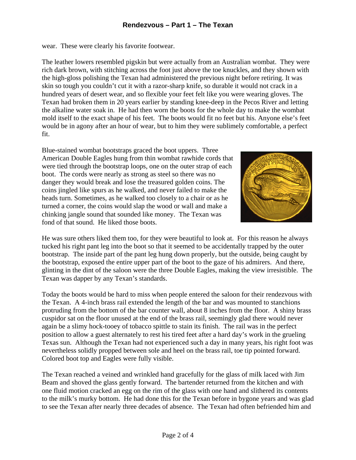wear. These were clearly his favorite footwear.

The leather lowers resembled pigskin but were actually from an Australian wombat. They were rich dark brown, with stitching across the foot just above the toe knuckles, and they shown with the high-gloss polishing the Texan had administered the previous night before retiring. It was skin so tough you couldn't cut it with a razor-sharp knife, so durable it would not crack in a hundred years of desert wear, and so flexible your feet felt like you were wearing gloves. The Texan had broken them in 20 years earlier by standing knee-deep in the Pecos River and letting the alkaline water soak in. He had then worn the boots for the whole day to make the wombat mold itself to the exact shape of his feet. The boots would fit no feet but his. Anyone else's feet would be in agony after an hour of wear, but to him they were sublimely comfortable, a perfect fit.

Blue-stained wombat bootstraps graced the boot uppers. Three American Double Eagles hung from thin wombat rawhide cords that were tied through the bootstrap loops, one on the outer strap of each boot. The cords were nearly as strong as steel so there was no danger they would break and lose the treasured golden coins. The coins jingled like spurs as he walked, and never failed to make the heads turn. Sometimes, as he walked too closely to a chair or as he turned a corner, the coins would slap the wood or wall and make a chinking jangle sound that sounded like money. The Texan was fond of that sound. He liked those boots.



He was sure others liked them too, for they were beautiful to look at. For this reason he always tucked his right pant leg into the boot so that it seemed to be accidentally trapped by the outer bootstrap. The inside part of the pant leg hung down properly, but the outside, being caught by the bootstrap, exposed the entire upper part of the boot to the gaze of his admirers. And there, glinting in the dint of the saloon were the three Double Eagles, making the view irresistible. The Texan was dapper by any Texan's standards.

Today the boots would be hard to miss when people entered the saloon for their rendezvous with the Texan. A 4-inch brass rail extended the length of the bar and was mounted to stanchions protruding from the bottom of the bar counter wall, about 8 inches from the floor. A shiny brass cuspidor sat on the floor unused at the end of the brass rail, seemingly glad there would never again be a slimy hock-tooey of tobacco spittle to stain its finish. The rail was in the perfect position to allow a guest alternately to rest his tired feet after a hard day's work in the grueling Texas sun. Although the Texan had not experienced such a day in many years, his right foot was nevertheless solidly propped between sole and heel on the brass rail, toe tip pointed forward. Colored boot top and Eagles were fully visible.

The Texan reached a veined and wrinkled hand gracefully for the glass of milk laced with Jim Beam and shoved the glass gently forward. The bartender returned from the kitchen and with one fluid motion cracked an egg on the rim of the glass with one hand and slithered its contents to the milk's murky bottom. He had done this for the Texan before in bygone years and was glad to see the Texan after nearly three decades of absence. The Texan had often befriended him and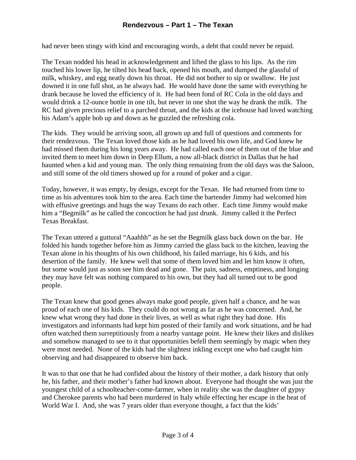## **Rendezvous – Part 1 – The Texan**

had never been stingy with kind and encouraging words, a debt that could never be repaid.

The Texan nodded his head in acknowledgement and lifted the glass to his lips. As the rim touched his lower lip, he tilted his head back, opened his mouth, and dumped the glassful of milk, whiskey, and egg neatly down his throat. He did not bother to sip or swallow. He just downed it in one full shot, as he always had. He would have done the same with everything he drank because he loved the efficiency of it. He had been fond of RC Cola in the old days and would drink a 12-ounce bottle in one tilt, but never in one shot the way he drank the milk. The RC had given precious relief to a parched throat, and the kids at the icehouse had loved watching his Adam's apple bob up and down as he guzzled the refreshing cola.

The kids. They would be arriving soon, all grown up and full of questions and comments for their rendezvous. The Texan loved those kids as he had loved his own life, and God knew he had missed them during his long years away. He had called each one of them out of the blue and invited them to meet him down in Deep Ellum, a now all-black district in Dallas that he had haunted when a kid and young man. The only thing remaining from the old days was the Saloon, and still some of the old timers showed up for a round of poker and a cigar.

Today, however, it was empty, by design, except for the Texan. He had returned from time to time as his adventures took him to the area. Each time the bartender Jimmy had welcomed him with effusive greetings and hugs the way Texans do each other. Each time Jimmy would make him a "Begmilk" as he called the concoction he had just drunk. Jimmy called it the Perfect Texas Breakfast.

The Texan uttered a guttural "Aaahhh" as he set the Begmilk glass back down on the bar. He folded his hands together before him as Jimmy carried the glass back to the kitchen, leaving the Texan alone in his thoughts of his own childhood, his failed marriage, his 6 kids, and his desertion of the family. He knew well that some of them loved him and let him know it often, but some would just as soon see him dead and gone. The pain, sadness, emptiness, and longing they may have felt was nothing compared to his own, but they had all turned out to be good people.

The Texan knew that good genes always make good people, given half a chance, and he was proud of each one of his kids. They could do not wrong as far as he was concerned. And, he knew what wrong they had done in their lives, as well as what right they had done. His investigators and informants had kept him posted of their family and work situations, and he had often watched them surreptitiously from a nearby vantage point. He knew their likes and dislikes and somehow managed to see to it that opportunities befell them seemingly by magic when they were most needed. None of the kids had the slightest inkling except one who had caught him observing and had disappeared to observe him back.

It was to that one that he had confided about the history of their mother, a dark history that only he, his father, and their mother's father had known about. Everyone had thought she was just the youngest child of a schoolteacher-come-farmer, when in reality she was the daughter of gypsy and Cherokee parents who had been murdered in Italy while effecting her escape in the heat of World War I. And, she was 7 years older than everyone thought, a fact that the kids'